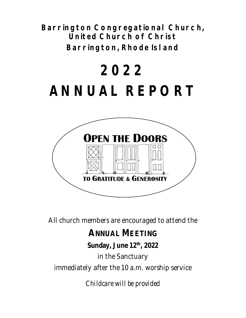**Barrington Congregational Church, United Church of Christ Barrington, Rhode Island** 

# **2022 ANNUAL REPORT**



All church members are encouraged to attend the

# **ANNUAL MEETING**

## **Sunday, June 12th , 2022**

in the Sanctuary

immediately after the 10 a.m. worship service

*Childcare will be provided*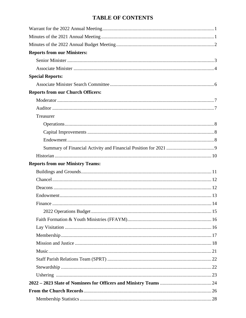### **TABLE OF CONTENTS**

| <b>Reports from our Ministers:</b>       |
|------------------------------------------|
|                                          |
|                                          |
| <b>Special Reports:</b>                  |
|                                          |
| <b>Reports from our Church Officers:</b> |
|                                          |
|                                          |
| Treasurer                                |
|                                          |
|                                          |
|                                          |
|                                          |
|                                          |
| <b>Reports from our Ministry Teams:</b>  |
|                                          |
|                                          |
|                                          |
|                                          |
|                                          |
|                                          |
|                                          |
|                                          |
|                                          |
|                                          |
|                                          |
|                                          |
|                                          |
|                                          |
|                                          |
|                                          |
|                                          |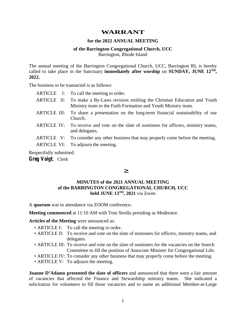### **WARRANT**

#### **for the 2022 ANNUAL MEETING**

#### **of the Barrington Congregational Church, UCC**  Barrington, Rhode Island

The annual meeting of the Barrington Congregational Church, UCC, Barrington RI, is hereby called to take place in the Sanctuary **immediately after worship** on **SUNDAY, JUNE 12TH, 2022.** 

The business to be transacted is as follows:

|  | ARTICLE I: To call the meeting to order.                                                                                                            |
|--|-----------------------------------------------------------------------------------------------------------------------------------------------------|
|  | ARTICLE II: To make a By-Laws revision retitling the Christian Education and Youth<br>Ministry team to the Faith Formation and Youth Ministry team. |
|  | ARTICLE III: To share a presentation on the long-term financial sustainability of our<br>Church.                                                    |
|  | ARTICLE IV: To receive and vote on the slate of nominees for officers, ministry teams,<br>and delegates.                                            |
|  | ARTICLE V: To consider any other business that may properly come before the meeting.                                                                |
|  | ARTICLE VI: To adjourn the meeting.                                                                                                                 |
|  |                                                                                                                                                     |

Respectfully submitted:

**Greg Voigt***,* Clerk

#### ³

#### **MINUTES of the 2021 ANNUAL MEETING of the BARRINGTON CONGREGATIONAL CHURCH, UCC held JUNE 13TH, 2021** via Zoom

A **quorum** was in attendance via ZOOM conference**.** 

**Meeting commenced** at 11:10 AM with Tom Strolla presiding as Moderator.

**Articles of the Meeting** were announced as:

- ARTICLE I: To call the meeting to order.
- ARTICLE II: To receive and vote on the slate of nominees for officers, ministry teams, and delegates.
- ARTICLE III: To receive and vote on the slate of nominees for the vacancies on the Search Committee to fill the position of Associate Minister for Congregational Life.
- ARTICLE IV: To consider any other business that may properly come before the meeting.
- ARTICLE V: To adjourn the meeting.

**Joanne D'Adamo presented the slate of officers** and announced that there were a fair amount of vacancies that affected the Finance and Stewardship ministry teams. She indicated a solicitation for volunteers to fill those vacancies and to name an additional Member-at-Large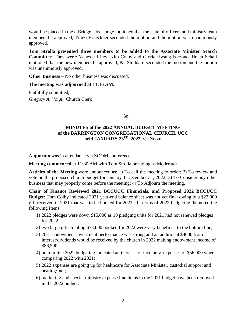would be placed in the e-Bridge. Joe Judge motioned that the slate of officers and ministry team members be approved, Trinki Brueckner seconded the motion and the motion was unanimously approved.

**Tom Strolla presented three members to be added to the Associate Minister Search Committee**. They were: Vanessa Kiley, Kim Colby and Gloria Hwang-Forzono. Helen Schall motioned that the new members be approved, Pat Stoddard seconded the motion and the motion was unanimously approved.

**Other Business –** No other business was discussed.

#### **The meeting was adjourned at 11:16 AM.**

Faithfully submitted, *Gregory A. Voigt,* Church Clerk

³

### **MINUTES of the 2022 ANNUAL BUDGET MEETING of the BARRINGTON CONGREGATIONAL CHURCH, UCC held JANUARY 23RD , 2022** via Zoom

A **quorum** was in attendance via ZOOM conference.

**Meeting commenced** at 11:30 AM with Tom Strolla presiding as Moderator.

**Articles of the Meeting** were announced as: 1) To call the meeting to order; 2) To review and vote on the proposed church budget for January 1-December 31, 2022; 3) To Consider any other business that may properly come before the meeting; 4) To Adjourn the meeting.

**Chair of Finance Reviewed 2021 BCCUCC Financials, and Proposed 2022 BCCUCC Budget:** Tom Colby indicated 2021 year-end balance sheet was not yet final owing to a \$23,000 gift received in 2021 that was to be booked for 2022. In terms of 2022 budgeting, he noted the following items:

- 1) 2022 pledges were down \$15,000 as 10 pledging units for 2021 had not renewed pledges for 2022;
- 2) two large gifts totaling \$73,000 booked for 2022 were very beneficial to the bottom line;
- 3) 2021 endowment investment performance was strong and an additional \$4000 from interest/dividends would be received by the church in 2022 making endowment income of \$86,500;
- 4) bottom line 2022 budgeting indicated an increase of income v. expenses of \$56,000 when comparing 2022 with 2021;
- 5) 2022 expenses are going up for healthcare for Associate Minister, custodial support and heating/fuel;
- 6) marketing and special ministry expense line items in the 2021 budget have been removed in the 2022 budget;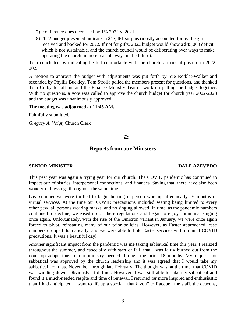- 7) conference dues decreased by 1% 2022 v. 2021;
- 8) 2022 budget presented indicates a \$17,461 surplus (mostly accounted for by the gifts received and booked for 2022. If not for gifts, 2022 budget would show a \$45,000 deficit which is not sustainable, and the church council would be deliberating over ways to make operating the church in more feasible ways in the future).

Tom concluded by indicating he felt comfortable with the church's financial posture in 2022- 2023.

A motion to approve the budget with adjustments was put forth by Sue Rotblat-Walker and seconded by Phyllis Buckley. Tom Strolla polled the members present for questions, and thanked Tom Colby for all his and the Finance Ministry Team's work on putting the budget together. With no questions, a vote was called to approve the church budget for church year 2022-2023 and the budget was unanimously approved.

#### **The meeting was adjourned at 11:45 AM.**

Faithfully submitted,

*Gregory A. Voigt,* Church Clerk

#### ³

#### **Reports from our Ministers**

#### **SENIOR MINISTER DALE AZEVEDO**

This past year was again a trying year for our church. The COVID pandemic has continued to impact our ministries, interpersonal connections, and finances. Saying that, there have also been wonderful blessings throughout the same time.

Last summer we were thrilled to begin hosting in-person worship after nearly 16 months of virtual services. At the time our COVID precautions included seating being limited to every other pew, all persons wearing masks, and no singing allowed. In time, as the pandemic numbers continued to decline, we eased up on these regulations and began to enjoy communal singing once again. Unfortunately, with the rise of the Omicron variant in January, we were once again forced to pivot, reinstating many of our prior policies. However, as Easter approached, case numbers dropped dramatically, and we were able to hold Easter services with minimal COVID precautions. It was a beautiful day!

Another significant impact from the pandemic was me taking sabbatical time this year. I realized throughout the summer, and especially with start of fall, that I was fairly burned out from the non-stop adaptations to our ministry needed through the prior 18 months. My request for sabbatical was approved by the church leadership and it was agreed that I would take my sabbatical from late November through late February. The thought was, at the time, that COVID was winding down. Obviously, it did not. However, I was still able to take my sabbatical and found it a much-needed respite and time of renewal. I returned far more inspired and enthusiastic than I had anticipated. I want to lift up a special "thank you" to Racquel, the staff, the deacons,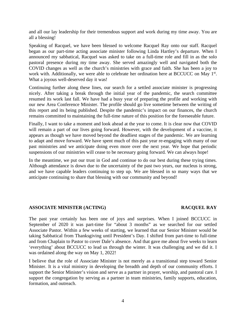and all our lay leadership for their tremendous support and work during my time away. You are all a blessing!

Speaking of Racquel, we have been blessed to welcome Racquel Ray onto our staff. Racquel began as our part-time acting associate minister following Linda Hartley's departure. When I announced my sabbatical, Racquel was asked to take on a full-time role and fill in as the solo pastoral presence during my time away. She served amazingly well and navigated both the COVID changes as well as the church's ministries with grace and faith. She has been a joy to work with. Additionally, we were able to celebrate her ordination here at BCCUCC on May 1st. What a joyous well-deserved day it was!

Continuing further along these lines, our search for a settled associate minister is progressing nicely. After taking a break through the initial year of the pandemic, the search committee resumed its work last fall. We have had a busy year of preparing the profile and working with our new Area Conference Minister. The profile should go live sometime between the writing of this report and its being published. Despite the pandemic's impact on our finances, the church remains committed to maintaining the full-time nature of this position for the foreseeable future.

Finally, I want to take a moment and look ahead at the year to come. It is clear now that COVID will remain a part of our lives going forward. However, with the development of a vaccine, it appears as though we have moved beyond the deadliest stages of the pandemic. We are learning to adapt and move forward. We have spent much of this past year re-engaging with many of our past ministries and we anticipate doing even more over the next year. We hope that periodic suspensions of our ministries will cease to be necessary going forward. We can always hope!

In the meantime, we put our trust in God and continue to do our best during these trying times. Although attendance is down due to the uncertainty of the past two years, our nucleus is strong, and we have capable leaders continuing to step up. We are blessed in so many ways that we anticipate continuing to share that blessing with our community and beyond!

#### **ASSOCIATE MINISTER (ACTING) RACQUEL RAY**

The past year certainly has been one of joys and surprises. When I joined BCCUCC in September of 2020 it was part-time for "about 3 months" as we searched for our settled Associate Pastor. Within a few weeks of starting, we learned that our Senior Minister would be taking Sabbatical from Thanksgiving until President's Day. I shifted from part-time to full-time and from Chaplain to Pastor to cover Dale's absence. And that gave me about five weeks to learn 'everything' about BCCUCC to lead us through the winter. It was challenging and we did it. I was ordained along the way on May 1, 2022!

I believe that the role of Associate Minister is not merely as a transitional step toward Senior Minister. It is a vital ministry in developing the breadth and depth of our community efforts. I support the Senior Minister's vision and serve as a partner in prayer, worship, and pastoral care. I support the congregation by serving as a partner in team ministries, family supports, education, formation, and outreach.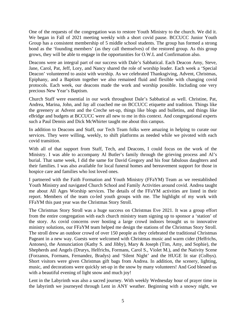One of the requests of the congregation was to restore Youth Ministry to the church. We did it. We began in Fall of 2021 meeting weekly with a short covid pause. BCCUCC Junior Youth Group has a consistent membership of 5 middle school students. The group has formed a strong bond as the 'founding members' (as they call themselves) of the restored group. As this group grows, they will be able to engage in the opportunities for O.W.L and Confirmation also.

Deacons were an integral part of our success with Dale's Sabbatical. Each Deacon Amy, Steve, Jane, Carol, Pat, Jeff, Lory, and Nancy shared the role of worship leader. Each week a 'Special Deacon' volunteered to assist with worship. As we celebrated Thanksgiving, Advent, Christmas, Epiphany, and a Baptism together we also remained fluid and flexible with changing covid protocols. Each week, our deacons made the work and worship possible. Including one very precious New Year's Baptism.

Church Staff were essential in our work throughout Dale's Sabbatical as well. Christine, Pat, Andrea, Marina, John, and Jay all coached me on BCCUCC etiquette and tradition. Things like the greenery at Advent and the Creche set-up, things like blogs and bulletins, and things like eBridge and budgets at BCCUCC were all new to me in this context. And congregational experts such a Paul Dennis and Dick McWhirter taught me about this campus.

In addition to Deacons and Staff, our Tech Team folks were amazing in helping to curate our services. They were willing, weekly, to shift platforms as needed while we pivoted with each covid transition.

With all of that support from Staff, Tech, and Deacons, I could focus on the work of the Ministry. I was able to accompany Al Butler's family through the grieving process and Al's burial. That same week, I did the same for David Gregory and his four fabulous daughters and their families. I was also available for local funeral homes and bereavement support for those in hospice care and families who lost loved ones.

I partnered with the Faith Formation and Youth Ministry (FFaYM) Team as we reestablished Youth Ministry and navigated Church School and Family Activities around covid. Andrea taught me about All Ages Worship services. The details of the FFaYM activities are listed in their report. Members of the team co-led youth groups with me. The highlight of my work with FFaYM this past year was the Christmas Story Stroll.

The Christmas Story Stroll was a huge success on Christmas Eve 2021. It was a group effort from the entire congregation with each church ministry team signing up to sponsor a 'station' of the story. As covid concerns over hosting a large crowd indoors brought us to innovative ministry solutions, our FFaYM team helped me design the stations of the Christmas Story Stroll. The stroll drew an outdoor crowd of over 150 people as they celebrated the traditional Christmas Pageant in a new way. Guests were welcomed with Christmas music and warm cider (Helfrichs, Antones), the Annunciation (Kathy S. and Jibby), Mary & Joseph (Tim, Amy, and Sophie), the Shepherds and Angels (Drurys, Helfrichs, Formans, Carol S., Violet M.), and the Nativity Scene (Forzanos, Formans, Fernandez, Bradys) and 'Silent Night' and the HUGE lit star (Colbys). Short visitors were given Christmas gift bags from Andrea. In addition, the scenery, lighting, music, and decorations were quickly set-up in the snow by many volunteers! And God blessed us with a beautiful evening of light snow and much joy!

Lent in the Labyrinth was also a sacred journey. With weekly Wednesday hour of prayer time in the labyrinth we journeyed through Lent in ANY weather. Beginning with a snowy night, we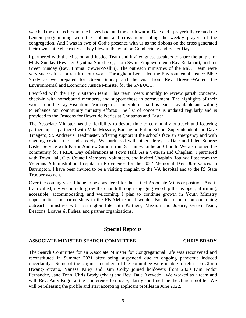watched the crocus bloom, the leaves bud, and the earth warm. Dale and I prayerfully created the Lenten programming with the ribbons and cross representing the weekly prayers of the congregation. And I was in awe of God's presence with us as the ribbons on the cross generated their own static electricity as they blew in the wind on Good Friday and Easter Day.

I partnered with the Mission and Justice Team and invited guest speakers to share the pulpit for MLK Sunday (Rev. Dr. Cynthia Smothers), from Swim Empowerment (Ray Rickman), and for Green Sunday (Rev. Emma Brewer-Wallin). The outreach ministries of the M&J Team were very successful as a result of our work. Throughout Lent I led the Environmental Justice Bible Study as we prepared for Green Sunday and the visit from Rev. Brewer-Wallen, the Environmental and Economic Justice Minister for the SNEUCC.

I worked with the Lay Visitation team. This team meets monthly to review parish concerns, check-in with homebound members, and support those in bereavement. The highlights of their work are in the Lay Visitation Team report. I am grateful that this team is available and willing to enhance our community ministry efforts! The list of concerns is updated regularly and is provided to the Deacons for flower deliveries at Christmas and Easter.

The Associate Minister has the flexibility to devote time to community outreach and fostering partnerships. I partnered with Mike Messore, Barrington Public School Superintendent and Dave Tinagero, St. Andrew's Headmaster, offering support if the schools face an emergency and with ongoing covid stress and anxiety. We partnered with other clergy as Dale and I led Sunrise Easter Service with Pastor Andrew Simon from St. James Lutheran Church. We also joined the community for PRIDE Day celebrations at Town Hall. As a Veteran and Chaplain, I partnered with Town Hall, City Council Members, volunteers, and invited Chaplain Rotunda East from the Veterans Administration Hospital in Providence for the 2022 Memorial Day Observances in Barrington. I have been invited to be a visiting chaplain to the VA hospital and to the RI State Trooper women.

Over the coming year, I hope to be considered for the settled Associate Minister position. And if I am called, my vision is to grow the church through engaging worship that is open, affirming, accessible, accommodating, and welcoming. I plan to continue growth in Youth Ministry opportunities and partnerships in the FFaYM team. I would also like to build on continuing outreach ministries with Barrington Interfaith Partners, Mission and Justice, Green Team, Deacons, Loaves & Fishes, and partner organizations.

### **Special Reports**

#### **ASSOCIATE MINISTER SEARCH COMMITTEE CHRIS BRADY**

The Search Committee for an Associate Minister for Congregational Life was reconvened and reconstituted in Summer 2021 after being suspended due to ongoing pandemic induced uncertainty. Some of the original members of the committee were unable to return so Gloria Hwang-Forzano, Vanesa Kiley and Kim Colby joined holdovers from 2020 Kim Fodor Fernandez, Jane Tonn, Chris Brady (chair) and Rev. Dale Azevedo. We worked as a team and with Rev. Patty Kogut at the Conference to update, clarify and fine tune the church profile. We will be releasing the profile and start accepting applicant profiles in June 2022.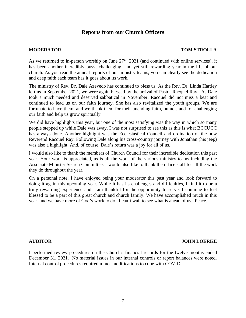### **Reports from our Church Officers**

#### **MODERATOR TOM STROLLA**

As we returned to in-person worship on June  $27<sup>th</sup>$ ,  $2021$  (and continued with online services), it has been another incredibly busy, challenging, and yet still rewarding year in the life of our church. As you read the annual reports of our ministry teams, you can clearly see the dedication and deep faith each team has it goes about its work.

The ministry of Rev. Dr. Dale Azevedo has continued to bless us. As the Rev. Dr. Linda Hartley left us in September 2021, we were again blessed by the arrival of Pastor Racquel Ray. As Dale took a much needed and deserved sabbatical in November, Racquel did not miss a beat and continued to lead us on our faith journey. She has also revitalized the youth groups. We are fortunate to have them, and we thank them for their unending faith, humor, and for challenging our faith and help us grow spiritually.

We did have highlights this year, but one of the most satisfying was the way in which so many people stepped up while Dale was away. I was not surprised to see this as this is what BCCUCC has always done. Another highlight was the Ecclesiastical Council and ordination of the now Reverend Racquel Ray. Following Dale along his cross-country journey with Jonathan (his jeep) was also a highlight. And, of course, Dale's return was a joy for all of us.

I would also like to thank the members of Church Council for their incredible dedication this past year. Your work is appreciated, as is all the work of the various ministry teams including the Associate Minister Search Committee. I would also like to thank the office staff for all the work they do throughout the year.

On a personal note, I have enjoyed being your moderator this past year and look forward to doing it again this upcoming year. While it has its challenges and difficulties, I find it to be a truly rewarding experience and I am thankful for the opportunity to serve. I continue to feel blessed to be a part of this great church and church family. We have accomplished much in this year, and we have more of God's work to do. I can't wait to see what is ahead of us. Peace.

#### **AUDITOR JOHN LOERKE**

I performed review procedures on the Church's financial records for the twelve months ended December 31, 2021. No material issues in our internal controls or report balances were noted. Internal control procedures required minor modifications to cope with COVID.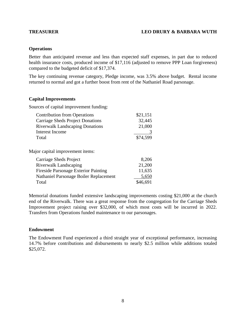#### **TREASURER LEO DRURY & BARBARA WUTH**

#### **Operations**

Better than anticipated revenue and less than expected staff expenses, in part due to reduced health insurance costs, produced income of \$17,116 (adjusted to remove PPP Loan forgiveness) compared to the budgeted deficit of \$17,374.

The key continuing revenue category, Pledge income, was 3.5% above budget. Rental income returned to normal and got a further boost from rent of the Nathaniel Road parsonage.

#### **Capital Improvements**

Sources of capital improvement funding:

| <b>Contribution from Operations</b>    | \$21,151 |
|----------------------------------------|----------|
| Carriage Sheds Project Donations       | 32,445   |
| <b>Riverwalk Landscaping Donations</b> | 21,000   |
| Interest Income                        |          |
| Total                                  | \$74,599 |

Major capital improvement items:

| Carriage Sheds Project                      | 8,206    |
|---------------------------------------------|----------|
| Riverwalk Landscaping                       | 21,200   |
| <b>Fireside Parsonage Exterior Painting</b> | 11,635   |
| Nathaniel Parsonage Boiler Replacement      | 5,650    |
| Total                                       | \$46,691 |

Memorial donations funded extensive landscaping improvements costing \$21,000 at the church end of the Riverwalk. There was a great response from the congregation for the Carriage Sheds Improvement project raising over \$32,000, of which most costs will be incurred in 2022. Transfers from Operations funded maintenance to our parsonages.

#### **Endowment**

The Endowment Fund experienced a third straight year of exceptional performance, increasing 14.7% before contributions and disbursements to nearly \$2.5 million while additions totaled \$25,072.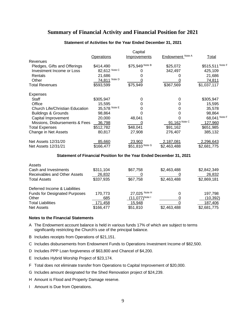### **Summary of Financial Activity and Financial Position for 2021**

|                                        |                   | Capital             |                  |                  |
|----------------------------------------|-------------------|---------------------|------------------|------------------|
|                                        | <b>Operations</b> | <u>Improvements</u> | Endowment Note A | <b>Total</b>     |
| <b>Revenues</b>                        |                   |                     |                  |                  |
| Pledges, Gifts and Offerings           | \$414,490         | \$75,949 Note B     | \$25,072         | \$515,511 Note F |
| Investment Income or Loss              | 82,612 Note C     |                     | 342,497          | 425,109          |
| Rentals                                | 21,686            |                     |                  | 21,686           |
| Other                                  | 74,811 Note D     |                     |                  | <u>74,811</u>    |
| Total Revenues                         | \$593,599         | \$75,949            | \$367,569        | \$1,037,117      |
| Expenses                               |                   |                     |                  |                  |
| Staff                                  | \$305,947         | 0                   | 0                | \$305,947        |
| Office                                 | 15,595            | 0                   | 0                | 15,595           |
| <b>Church Life/Christian Education</b> | 35,578 Note E     |                     | 0                | 35,578           |
| <b>Buildings &amp; Grounds</b>         | 98,864            |                     |                  | 98,864           |
| Capital Improvement                    | 20,000            | 48,041              |                  | 68,041 Note F    |
| Missions, Disbursements & Fees         | 36,798            |                     | 91,162 Note C    | 127,960          |
| <b>Total Expenses</b>                  | \$512,782         | \$48,041            | \$91,162         | \$651,985        |
| Change in Net Assets                   | 80,817            | 27,908              | 276,407          | 385,132          |
| Net Assets 12/31/20                    | 85,660            | 23,902              | 2,187,081        | 2,296,643        |
| Net Assets 12/31/21                    | \$166,477         | \$51,810 Note G     | \$2,463,488      | \$2,681,775      |

#### **Statement of Activities for the Year Ended December 31, 2021**

#### **Statement of Financial Position for the Year Ended December 31, 2021**

| Assets                               |           |                     |             |             |
|--------------------------------------|-----------|---------------------|-------------|-------------|
| Cash and Investments                 | \$311,104 | \$67,758            | \$2,463,488 | \$2,842,349 |
| Receivables and Other Assets         | 26,832    |                     |             | 26,832      |
| <b>Total Assets</b>                  | \$337,935 | \$67,758            | \$2,463,488 | \$2,869,181 |
| Deferred Income & Liabilities        |           |                     |             |             |
| <b>Funds for Designated Purposes</b> | 170.773   | 27,025 Note H       | $\Omega$    | 197.798     |
| Other                                | 685       | $(11,077)^{Note I}$ |             | (10, 392)   |
| <b>Total Liabilities</b>             | 171,458   | 15,948              |             | 187,406     |
| <b>Net Assets</b>                    | \$166,477 | \$51,810            | \$2,463,488 | \$2,681,775 |

#### **Notes to the Financial Statements**

- A The Endowment account balance is held in various funds 17% of which are subject to terms significantly restricting the Church's use of the principal balance.
- B Includes receipts from Operations of \$21,151.
- C Includes disbursements from Endowment Funds to Operations Investment Income of \$82,500.
- D Includes PPP Loan forgiveness of \$63,800 and Chancel of \$4,200.
- E Includes Hybrid Worship Project of \$23,174.
- F Total does not eliminate transfer from Operations to Capital Improvement of \$20,000.
- G Includes amount designated for the Shed Renovation project of \$24,239.
- H Amount is Flood and Property Damage reserve.
- I Amount is Due from Operations.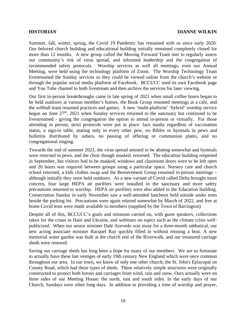Summer, fall, winter, spring, the Covid 19 Pandemic has remained with us since early 2020. Our beloved church building and educational building initially remained completely closed for more than 12 months. A new group called the Moving Forward Team met to regularly assess our community's risk of virus spread, and informed leadership and the congregation of recommended safety protocols. Worship services as well all meetings, even our Annual Meeting, were held using the technology platform of Zoom. The Worship Technology Team livestreamed the Sunday services so they could be viewed online from the church's website or through the popular social media platform of Facebook. BCCUCC used its own Facebook page and You Tube channel to both livestream and then archive the services for later viewing.

Our first in-person breakthroughs came in late spring of 2021 when small coffee hours began to be held outdoors at various member's homes, the Book Group resumed meetings at a café, and the softball team resumed practices and games. A new 'multi-platform' 'hybrid' worship service began on June  $27<sup>th</sup>$ ,  $2021$  when Sunday services returned to the sanctuary but continued to be livestreamed - giving the congregation the option to attend in-person or virtually. For those attending in person, strict protocols were put in place: face masks regardless of vaccination status, a sign-in table, seating only in every other pew, no Bibles or hymnals in pews and bulletins distributed by ushers, no passing of offering or communion plates, and no congregational singing.

Towards the end of summer 2021, the virus spread seemed to be abating somewhat and hymnals were returned to pews, and the choir though masked, returned. The education building reopened in September, but visitors had to be masked, windows and classroom doors were to be left open and 20 hours was required between groups using a particular space. Nursery care and church school returned, a kids clothes swap and the Bereavement Group resumed in-person meetings – although initially they were held outdoors. As a new variant of Covid called Delta brought more concern, four large HEPA air purifiers were installed in the sanctuary and more safety precautions returned to worship. HEPA air purifiers were also added to the Education building. Consecration Sunday in early November saw a well-attended luncheon held outside under tents beside the parking lot. Precautions were again relaxed somewhat by March of 2022, and free at home Covid tests were made available to members (supplied by the Town of Barrington)

Despite all of this, BCCUCC's goals and missions carried on, with guest speakers, collections taken for the crises in Haiti and Ukraine, and webinars on topics such as the climate crisis wellpublicized. When our senior minister Dale Azevedo was away for a three-month sabbatical, our new acting associate minister Racquel Ray quickly filled in without missing a beat. A new memorial water garden was built at the church end of the Riverwalk, and our treasured carriage sheds were restored.

Saving our carriage sheds has long been a hope for many of our members. We are so fortunate to actually have these last vestiges of early 19th century New England which were once common throughout our area. In our town, we know of only one other church, the St. John's Episcopal on County Road, which had these types of sheds. These relatively simple structures were originally constructed to protect both horses and carriages from wind, rain and snow. Ours actually were on three sides of our Meeting House: the north, east and south sides. In the early days of our Church, Sundays were often long days. In addition to providing a time of worship and prayer,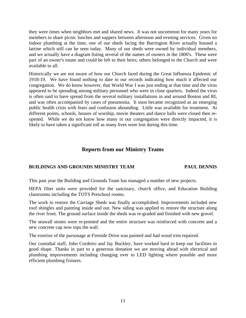they were times when neighbors met and shared news. It was not uncommon for many years for members to share picnic lunches and suppers between afternoon and evening services. Given no indoor plumbing at the time, one of our sheds facing the Barrington River actually housed a latrine which still can be seen today. Many of our sheds were owned by individual members, and we actually have a diagram listing several of the names of owners in the 1800's. These were part of an owner's estate and could be left to their heirs; others belonged to the Church and were available to all.

Historically we are not aware of how our Church fared during the Great Influenza Epidemic of 1918-19. We have found nothing to date in our records indicating how much it affected our congregation. We do know however, that World War I was just ending at that time and the virus appeared to be spreading among military personnel who were in close quarters. Indeed the virus is often said to have spread from the several military installations in and around Boston and RI, and was often accompanied by cases of pneumonia. It soon became recognized as an emerging public health crisis with fears and confusion abounding. Little was available for treatment. At different points, schools, houses of worship, movie theaters and dance halls were closed then reopened. While we do not know how many in our congregation were directly impacted, it is likely to have taken a significant toll as many lives were lost during this time.

### **Reports from our Ministry Teams**

#### **BUILDINGS AND GROUNDS MINISTRY TEAM PAUL DENNIS**

This past year the Building and Grounds Team has managed a number of new projects.

HEPA filter units were provided for the sanctuary, church office, and Education Building classrooms including the TOTS Preschool rooms.

The work to restore the Carriage Sheds was finally accomplished. Improvements included new roof shingles and painting inside and out. New siding was applied to restore the structure along the river front. The ground surface inside the sheds was re-graded and finished with new gravel.

The seawall stones were re-pointed and the entire structure was reinforced with concrete and a new concrete cap now tops the wall.

The exterior of the parsonage at Fireside Drive was painted and had wood trim repaired.

Our custodial staff, John Cordeiro and Jay Buckley, have worked hard to keep our facilities in good shape. Thanks in part to a generous donation we are moving ahead with electrical and plumbing improvements including changing over to LED lighting where possible and more efficient plumbing fixtures.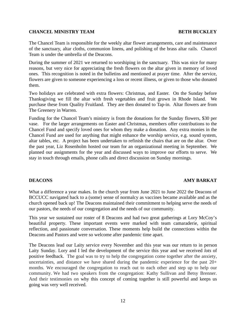#### **CHANCEL MINISTRY TEAM BETH BUCKLEY**

The Chancel Team is responsible for the weekly altar flower arrangements, care and maintenance of the sanctuary, altar cloths, communion linens, and polishing of the brass altar rails. Chancel Team is under the umbrella of the Deacons.

During the summer of 2021 we returned to worshiping in the sanctuary. This was nice for many reasons, but very nice for appreciating the fresh flowers on the altar given in memory of loved ones. This recognition is noted in the bulletins and mentioned at prayer time. After the service, flowers are given to someone experiencing a loss or recent illness, or given to those who donated them.

Two holidays are celebrated with extra flowers: Christmas, and Easter. On the Sunday before Thanksgiving we fill the altar with fresh vegetables and fruit grown in Rhode Island. We purchase these from Quality Fruitland. They are then donated to Tap-in. Altar flowers are from The Greenery in Warren.

Funding for the Chancel Team's ministry is from the donations for the Sunday flowers, \$30 per vase. For the larger arrangements on Easter and Christmas, members offer contributions to the Chancel Fund and specify loved ones for whom they make a donation. Any extra monies in the Chancel Fund are used for anything that might enhance the worship service, e.g. sound system, altar tables, etc. A project has been undertaken to refinish the chairs that are on the altar. Over the past year, Liz Rosenholm hosted our team for an organizational meeting in September. We planned our assignments for the year and discussed ways to improve our efforts to serve. We stay in touch through emails, phone calls and direct discussion on Sunday mornings.

#### **DEACONS AMY BARKAT**

What a difference a year makes. In the church year from June 2021 to June 2022 the Deacons of BCCUCC navigated back to a (some) sense of normalcy as vaccines became available and as the church opened back up! The Deacons maintained their commitment to helping serve the needs of our pastors, the needs of our congregation and the needs of our community.

This year we sustained our roster of 8 Deacons and had two great gatherings at Lory McCoy's beautiful property. These important events were marked with team camaraderie, spiritual reflection, and passionate conversation. These moments help build the connections within the Deacons and Pastors and were so welcome after pandemic time apart.

The Deacons lead our Laity service every November and this year was our return to in person Laity Sunday. Lory and I led the development of the service this year and we received *lots* of positive feedback. The goal was to try to help the congregation come together after the anxiety, uncertainties, and distance we have shared during the pandemic experience for the past 20+ months. We encouraged the congregation to reach out to each other and step up to help our community. We had two speakers from the congregation: Kathy Sullivan and Betsy Brenner. And their testimonies on why this concept of coming together is still powerful and keeps us going was very well received.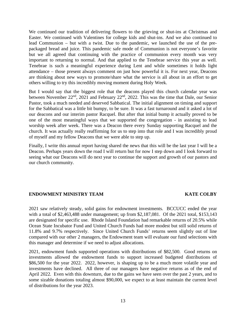We continued our tradition of delivering flowers to the grieving or shut-ins at Christmas and Easter. We continued with Valentines for college kids and shut-ins. And we also continued to lead Communion – but with a twist. Due to the pandemic, we launched the use of the prepackaged bread and juice. This pandemic safe mode of Communion is not everyone's favorite but we all agreed that continuing with the practice of communion every month was very important to returning to normal. And that applied to the Tenebrae service this year as well. Tenebrae is such a meaningful experience during Lent and while sometimes it holds light attendance – those present always comment on just how powerful it is. For next year, Deacons are thinking about new ways to promote/share what the service is all about in an effort to get others willing to try this incredibly moving moment during Holy Week.

But I would say that the biggest role that the deacons played this church calendar year was between November  $22<sup>nd</sup>$ ,  $2021$  and February  $22<sup>nd</sup>$ ,  $2022$ . This was the time that Dale, our Senior Pastor, took a much needed and deserved Sabbatical. The initial alignment on timing and support for the Sabbatical was a little bit bumpy, to be sure. It was a fast turnaround and it asked a lot of our deacons and our interim pastor Racquel. But after that initial bump it actually proved to be one of the most meaningful ways that we supported the congregation - in assisting to lead worship week after week. There was a Deacon there every Sunday supporting Racquel and the church. It was actually really reaffirming for us to step into that role and I was incredibly proud of myself and my fellow Deacons that we were able to step up.

Finally, I write this annual report having shared the news that this will be the last year I will be a Deacon. Perhaps years down the road I will return but for now I step down and I look forward to seeing what our Deacons will do next year to continue the support and growth of our pastors and our church community.

#### **ENDOWMENT MINISTRY TEAM KATE COLBY**

2021 saw relatively steady, solid gains for endowment investments. BCCUCC ended the year with a total of \$2,463,488 under management; up from \$2,187,081. Of the 2021 total, \$153,143 are designated for specific use. Rhode Island Foundation had remarkable returns of 20.5% while Ocean State Incubator Fund and United Church Funds had more modest but still solid returns of 11.8% and 9.7% respectively. Since United Church Funds' returns seem slightly out of line compared with our other 2 managers, the Endowment team will evaluate our fund selections with this manager and determine if we need to adjust allocations.

2021, endowment funds supported operations with distributions of \$82,500. Good returns on investments allowed the endowment funds to support increased budgeted distributions of \$86,500 for the year 2022. 2022, however, is shaping up to be a much more volatile year and investments have declined. All three of our managers have negative returns as of the end of April 2022. Even with this downturn, due to the gains we have seen over the past 2 years, and to some sizable donations totaling almost \$90,000, we expect to at least maintain the current level of distributions for the year 2023.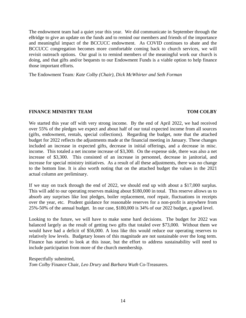The endowment team had a quiet year this year. We did communicate in September through the eBridge to give an update on the funds and to remind our members and friends of the importance and meaningful impact of the BCCUCC endowment. As COVID continues to abate and the BCCUCC congregation becomes more comfortable coming back to church services, we will revisit outreach options. Our goal is to remind members of the meaningful work our church is doing, and that gifts and/or bequests to our Endowment Funds is a viable option to help finance those important efforts.

The Endowment Team*: Kate Colby (Chair), Dick McWhirter and Seth Forman* 

#### **FINANCE MINISTRY TEAM TOM COLBY**

We started this year off with very strong income. By the end of April 2022, we had received over 55% of the pledges we expect and about half of our total expected income from all sources (gifts, endowment, rentals, special collections). Regarding the budget, note that the attached budget for 2022 reflects the adjustments made at the financial meeting in January. These changes included an increase in expected gifts, decrease in initial offerings, and a decrease in misc. income. This totaled a net income increase of \$3,300. On the expense side, there was also a net increase of \$3,300. This consisted of an increase in personnel, decrease in janitorial, and increase for special ministry initiatives. As a result of all these adjustments, there was no change to the bottom line. It is also worth noting that on the attached budget the values in the 2021 actual column are preliminary.

If we stay on track through the end of 2022, we should end up with about a \$17,000 surplus. This will add to our operating reserves making about \$180,000 in total. This reserve allows us to absorb any surprises like lost pledges, boiler replacement, roof repair, fluctuations in receipts over the year, etc. Prudent guidance for reasonable reserves for a non-profit is anywhere from 25%-50% of the annual budget. In our case, \$180,000 is 34% of our 2022 budget, a good level.

Looking to the future, we will have to make some hard decisions. The budget for 2022 was balanced largely as the result of getting two gifts that totaled over \$73,000. Without them we would have had a deficit of \$56,000. A loss like this would reduce our operating reserves to relatively low levels. Budgetary losses of this magnitude are not sustainable over the long term. Finance has started to look at this issue, but the effort to address sustainability will need to include participation from more of the church membership.

Respectfully submitted, *Tom Colby* Finance Chair, *Leo Drury* and *Barbara Wuth* Co-Treasurers.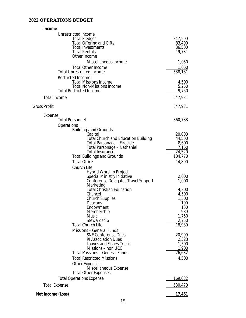### **2022 OPERATIONS BUDGET**

| Income                                                                                                            |                             |
|-------------------------------------------------------------------------------------------------------------------|-----------------------------|
| <b>Unrestricted Income</b><br><b>Total Pledges</b><br><b>Total Offering and Gifts</b><br><b>Total Investments</b> | 347,500<br>83,400<br>86,500 |
| <b>Total Rentals</b><br>Other Income                                                                              | 19,731                      |
| Miscellaneous Income                                                                                              | 1,050                       |
| <b>Total Other Income</b>                                                                                         | $\frac{1,050}{538,181}$     |
| <b>Total Unrestricted Income</b>                                                                                  |                             |
| <b>Restricted Income</b><br><b>Total Missions Income</b><br><b>Total Non-Missions Income</b>                      | 4,500<br>5,250              |
| <b>Total Restricted Income</b>                                                                                    | 9,750                       |
| <b>Total Income</b>                                                                                               | 547,931                     |
| <b>Gross Profit</b>                                                                                               | 547,931                     |
| Expense                                                                                                           |                             |
| <b>Total Personnel</b>                                                                                            | 360,788                     |
| <b>Operations</b><br><b>Buildings and Grounds</b>                                                                 |                             |
| Capital                                                                                                           | 20,000                      |
| <b>Total Church and Education Building</b>                                                                        | 44,500                      |
| <b>Total Parsonage - Fireside</b>                                                                                 | 8,600                       |
| Total Parsonage - Nathaniel<br><b>Total Insurance</b>                                                             | <u>7,150</u><br>24,520      |
| <b>Total Buildings and Grounds</b>                                                                                | 104,770                     |
| <b>Total Office</b>                                                                                               | 14,800                      |
| <b>Church Life</b>                                                                                                |                             |
| <b>Hybrid Worship Project</b>                                                                                     |                             |
| Special Ministry Initiative                                                                                       | 2,000                       |
| <b>Conference Delegates Travel Support</b><br>Marketing                                                           | 1,000                       |
| <b>Total Christian Education</b>                                                                                  | 4,300                       |
| Chancel                                                                                                           | 4,500                       |
| <b>Church Supplies</b>                                                                                            | 1,500                       |
| Deacons                                                                                                           | 100                         |
| Endowment<br>Membership                                                                                           | 100<br>980                  |
| <b>Music</b>                                                                                                      | 1,750                       |
| Stewardship                                                                                                       | 2,750                       |
| <b>Total Church Life</b>                                                                                          | 18,980                      |
| <b>Missions - General Funds</b>                                                                                   |                             |
| <b>SNE Conference Dues</b><br><b>RI Association Dues</b>                                                          | 20,909<br>2,323             |
| Loaves and Fishes Truck                                                                                           | 1,500                       |
| Missions - non UCC                                                                                                | <u>1,900</u>                |
| <b>Total Missions - General Funds</b>                                                                             | 26,632                      |
| <b>Total Restricted Missions</b>                                                                                  | 4,500                       |
| <b>Other Expenses</b><br>Miscellaneous Expense                                                                    |                             |
| <b>Total Other Expenses</b>                                                                                       |                             |
| <b>Total Operations Expense</b><br><b>Total Expense</b>                                                           | <u>169,682</u><br>530,470   |
| Net Income (Loss)                                                                                                 | 17,461                      |
|                                                                                                                   |                             |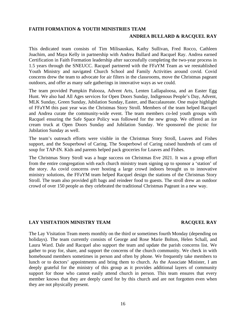#### **FAITH FORMATION & YOUTH MINISTRIES TEAM**

#### **ANDREA BULLARD & RACQUEL RAY**

This dedicated team consists of Tim Milisauskas, Kathy Sullivan, Fred Rocco, Cathleen Joachim, and Maya Kelly in partnership with Andrea Bullard and Racquel Ray. Andrea earned Certification in Faith Formation leadership after successfully completing the two-year process in 1.5 years through the SNEUCC. Racquel partnered with the FFaYM Team as we reestablished Youth Ministry and navigated Church School and Family Activities around covid. Covid concerns drew the team to advocate for air filters in the classrooms, move the Christmas pageant outdoors, and offer as many safe gatherings in innovative ways as we could.

The team provided Pumpkin Palooza, Advent Arts, Lenten Lallapaloosa, and an Easter Egg Hunt. We also had All Ages services for Open Doors Sunday, Indigenous People's Day, Advent, MLK Sunday, Green Sunday, Jubilation Sunday, Easter, and Baccalaureate. One major highlight of FFaYM this past year was the Christmas Story Stroll. Members of the team helped Racquel and Andrea curate the community-wide event. The team members co-led youth groups with Racquel ensuring the Safe Space Policy was followed for the new group. We offered an ice cream truck at Open Doors Sunday and Jubilation Sunday. We sponsored the picnic for Jubilation Sunday as well.

The team's outreach efforts were visible in the Christmas Story Stroll, Loaves and Fishes support, and the Souperbowl of Caring. The Souperbowl of Caring raised hundreds of cans of soup for TAP-IN. Kids and parents helped pack groceries for Loaves and Fishes.

The Christmas Story Stroll was a huge success on Christmas Eve 2021. It was a group effort from the entire congregation with each church ministry team signing up to sponsor a 'station' of the story. As covid concerns over hosting a large crowd indoors brought us to innovative ministry solutions, the FFaYM team helped Racquel design the stations of the Christmas Story Stroll. The team also provided gift bags and reindeer food to guests. The stroll drew an outdoor crowd of over 150 people as they celebrated the traditional Christmas Pageant in a new way.

#### **LAY VISITATION MINISTRY TEAM RACQUEL RAY**

The Lay Visitation Team meets monthly on the third or sometimes fourth Monday (depending on holidays). The team currently consists of George and Rose Marie Bolton, Helen Schall, and Laura Ward. Dale and Racquel also support the team and update the parish concerns list. We gather to pray for, share, and support the concerns of the church community. We check in with homebound members sometimes in person and often by phone. We frequently take members to lunch or to doctors' appointments and bring them to church. As the Associate Minister, I am deeply grateful for the ministry of this group as it provides additional layers of community support for those who cannot easily attend church in person. This team ensures that every member knows that they are deeply cared for by this church and are not forgotten even when they are not physically present.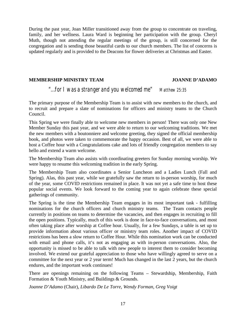During the past year, Joan Miller transitioned away from the group to concentrate on traveling, family, and her wellness. Laura Ward is beginning her participation with the group. Cheryl Muth, though not attending the regular meetings of the group, is still concerned for the congregation and is sending those beautiful cards to our church members. The list of concerns is updated regularly and is provided to the Deacons for flower deliveries at Christmas and Easter.

#### **MEMBERSHIP MINISTRY TEAM JOANNE D'ADAMO**

### *"...for I was a stranger and you welcomed me" Matthew 25:35*

The primary purpose of the Membership Team is to assist with new members to the church, and to recruit and prepare a slate of nominations for officers and ministry teams to the Church Council.

This Spring we were finally able to welcome new members in person! There was only one New Member Sunday this past year, and we were able to return to our welcoming traditions. We met the new members with a boutonniere and welcome greeting, they signed the official membership book, and photos were taken to commemorate the happy occasion. Best of all, we were able to host a Coffee hour with a Congratulations cake and lots of friendly congregation members to say hello and extend a warm welcome.

The Membership Team also assists with coordinating greeters for Sunday morning worship. We were happy to resume this welcoming tradition in the early Spring.

The Membership Team also coordinates a Senior Luncheon and a Ladies Lunch (Fall and Spring). Alas, this past year, while we gratefully saw the return to in-person worship, for much of the year, some COVID restrictions remained in place. It was not yet a safe time to host these popular social events. We look forward to the coming year to again celebrate these special gatherings of community.

The Spring is the time the Membership Team engages in its most important task - fulfilling nominations for the church officers and church ministry teams. The Team contacts people currently in positions on teams to determine the vacancies, and then engages in recruiting to fill the open positions. Typically, much of this work is done in face-to-face conversations, and most often taking place after worship at Coffee hour. Usually, for a few Sundays, a table is set up to provide information about various officer or ministry team roles. Another impact of COVID restrictions has been a slow return to Coffee Hour. While this nomination work can be conducted with email and phone calls, it's not as engaging as with in-person conversations. Also, the opportunity is missed to be able to talk with new people to interest them to consider becoming involved. We extend our grateful appreciation to those who have willingly agreed to serve on a committee for the next year or 2 year term! Much has changed in the last 2 years, but the church endures, and the important work continues!

There are openings remaining on the following Teams – Stewardship, Membership, Faith Formation & Youth Ministry, and Buildings & Grounds.

*Joanne D'Adamo* (Chair), *Libardo De Le Torre, Wendy Forman, Greg Voigt*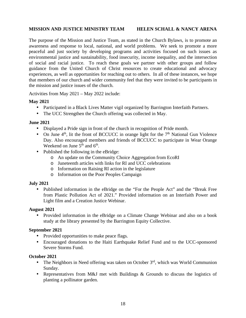### **MISSION AND JUSTICE MINISTRY TEAM HELEN SCHALL & NANCY ARENA**

The purpose of the Mission and Justice Team, as stated in the Church Bylaws, is to promote an awareness and response to local, national, and world problems. We seek to promote a more peaceful and just society by developing programs and activities focused on such issues as environmental justice and sustainability, food insecurity, income inequality, and the intersection of social and racial justice. To reach these goals we partner with other groups and follow guidance from the United Church of Christ resources to create educational and advocacy experiences, as well as opportunities for reaching out to others. In all of these instances, we hope that members of our church and wider community feel that they were invited to be participants in the mission and justice issues of the church.

Activities from May 2021 – May 2022 include:

#### **May 2021**

- Participated in a Black Lives Matter vigil organized by Barrington Interfaith Partners.
- The UCC Strengthen the Church offering was collected in May.

#### **June 2021**

- Displayed a Pride sign in front of the church in recognition of Pride month.
- On June  $4<sup>th</sup>$ , lit the front of BCCUCC in orange light for the  $7<sup>th</sup>$  National Gun Violence Day. Also encouraged members and friends of BCCUCC to participate in Wear Orange Weekend on June  $5<sup>th</sup>$  and  $6<sup>th</sup>$ .
- Published the following in the eBridge:
	- o An update on the Community Choice Aggregation from EcoRI
	- o Juneteenth articles with links for RI and UCC celebrations
	- o Information on Raising RI action in the legislature
	- o Information on the Poor Peoples Campaign

#### **July 2021**

• Published information in the eBridge on the "For the People Act" and the "Break Free from Plastic Pollution Act of 2021." Provided information on an Interfaith Power and Light film and a Creation Justice Webinar.

#### **August 2021**

• Provided information in the eBridge on a Climate Change Webinar and also on a book study at the library presented by the Barrington Equity Collective.

#### **September 2021**

- Provided opportunities to make peace flags.
- Encouraged donations to the Haiti Earthquake Relief Fund and to the UCC-sponsored Severe Storms Fund.

#### **October 2021**

- The Neighbors in Need offering was taken on October  $3<sup>rd</sup>$ , which was World Communion Sunday.
- Representatives from M&J met with Buildings & Grounds to discuss the logistics of planting a pollinator garden.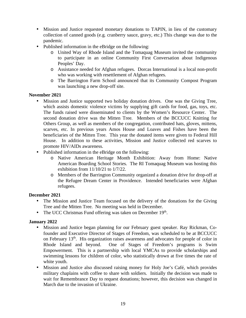- Mission and Justice requested monetary donations to TAPIN, in lieu of the customary collection of canned goods (e.g. cranberry sauce, gravy, etc.) This change was due to the pandemic.
- Published information in the eBridge on the following:
	- o United Way of Rhode Island and the Tomaquag Museum invited the community to participate in an online Community First Conversation about Indigenous Peoples' Day.
	- o Assistance needed for Afghan refugees. Dorcas International is a local non-profit who was working with resettlement of Afghan refugees.
	- o The Barrington Farm School announced that its Community Compost Program was launching a new drop-off site.

#### **November 2021**

- Mission and Justice supported two holiday donation drives. One was the Giving Tree, which assists domestic violence victims by supplying gift cards for food, gas, toys, etc. The funds raised were disseminated to clients by the Women's Resource Center. The second donation drive was the Mitten Tree. Members of the BCCUCC Knitting for Others Group, as well as members of the congregation, contributed hats, gloves, mittens, scarves, etc. In previous years Amos House and Loaves and Fishes have been the beneficiaries of the Mitten Tree. This year the donated items were given to Federal Hill House. In addition to these activities, Mission and Justice collected red scarves to promote HIV/AIDs awareness.
- Published information in the eBridge on the following:
	- o Native American Heritage Month Exhibition: Away from Home: Native American Boarding School Stories. The RI Tomaquag Museum was hosting this exhibition from 11/10/21 to 1/7/22.
	- o Members of the Barrington Community organized a donation drive for drop-off at the Refugee Dream Center in Providence. Intended beneficiaries were Afghan refugees.

#### **December 2021**

- The Mission and Justice Team focused on the delivery of the donations for the Giving Tree and the Mitten Tree. No meeting was held in December.
- The UCC Christmas Fund offering was taken on December 19<sup>th</sup>.

#### **January 2022**

- Mission and Justice began planning for our February guest speaker. Ray Rickman, Cofounder and Executive Director of Stages of Freedom, was scheduled to be at BCCUCC on February 13<sup>th</sup>. His organization raises awareness and advocates for people of color in Rhode Island and beyond. One of Stages of Freedom's programs is Swim Empowerment. This is a partnership with local YMCAs to provide scholarships and swimming lessons for children of color, who statistically drown at five times the rate of white youth.
- Mission and Justice also discussed raising money for Holy Joe's Café, which provides military chaplains with coffee to share with soldiers. Initially the decision was made to wait for Remembrance Day to request donations; however, this decision was changed in March due to the invasion of Ukraine.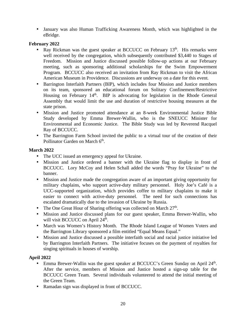• January was also Human Trafficking Awareness Month, which was highlighted in the eBridge.

### **February 2022**

- Ray Rickman was the guest speaker at BCCUCC on February 13<sup>th</sup>. His remarks were well received by the congregation, which subsequently contributed \$3,440 to Stages of Freedom. Mission and Justice discussed possible follow-up actions at our February meeting, such as sponsoring additional scholarships for the Swim Empowerment Program. BCCUCC also received an invitation from Ray Rickman to visit the African American Museum in Providence. Discussions are underway on a date for this event.
- Barrington Interfaith Partners (BIP), which includes four Mission and Justice members on its team, sponsored an educational forum on Solitary Confinement/Restrictive Housing on February 14<sup>th</sup>. BIP is advocating for legislation in the Rhode General Assembly that would limit the use and duration of restrictive housing measures at the state prison.
- Mission and Justice promoted attendance at an 8-week Environmental Justice Bible Study developed by Emma Brewer-Wallin, who is the SNEUCC Minister for Environmental and Economic Justice. The Bible Study was led by Reverend Racquel Ray of BCCUCC.
- The Barrington Farm School invited the public to a virtual tour of the creation of their Pollinator Garden on March 6<sup>th</sup>.

### **March 2022**

- The UCC issued an emergency appeal for Ukraine.
- Mission and Justice ordered a banner with the Ukraine flag to display in front of BCCUCC. Lory McCoy and Helen Schall added the words "Pray for Ukraine" to the banner.
- Mission and Justice made the congregation aware of an important giving opportunity for military chaplains, who support active-duty military personnel. Holy Joe's Café is a UCC-supported organization, which provides coffee to military chaplains to make it easier to connect with active-duty personnel. The need for such connections has escalated dramatically due to the invasion of Ukraine by Russia.
- The One Great Hour of Sharing offering was collected on March  $27<sup>th</sup>$ .
- Mission and Justice discussed plans for our guest speaker, Emma Brewer-Wallin, who will visit BCCUCC on April 24<sup>th</sup>.
- March was Women's History Month. The Rhode Island League of Women Voters and the Barrington Library sponsored a film entitled "Equal Means Equal."
- Mission and Justice discussed a possible interfaith social and racial justice initiative led by Barrington Interfaith Partners. The initiative focuses on the payment of royalties for singing spirituals in houses of worship.

### **April 2022**

- Emma Brewer-Wallin was the guest speaker at BCCUCC's Green Sunday on April 24<sup>th</sup>. After the service, members of Mission and Justice hosted a sign-up table for the BCCUCC Green Team. Several individuals volunteered to attend the initial meeting of the Green Team.
- Ramadan sign was displayed in front of BCCUCC.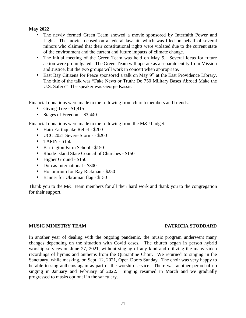#### **May 2022**

- The newly formed Green Team showed a movie sponsored by Interfaith Power and Light. The movie focused on a federal lawsuit, which was filed on behalf of several minors who claimed that their constitutional rights were violated due to the current state of the environment and the current and future impacts of climate change.
- The initial meeting of the Green Team was held on May 5. Several ideas for future action were promulgated. The Green Team will operate as a separate entity from Mission and Justice, but the two groups will work in concert when appropriate.
- East Bay Citizens for Peace sponsored a talk on May  $9<sup>th</sup>$  at the East Providence Library. The title of the talk was "Fake News or Truth: Do 750 Military Bases Abroad Make the U.S. Safer?" The speaker was George Kassis.

Financial donations were made to the following from church members and friends:

- Giving Tree  $$1,415$
- Stages of Freedom \$3,440

Financial donations were made to the following from the M&J budget:

- Haiti Earthquake Relief \$200
- UCC 2021 Severe Storms \$200
- TAPIN \$150
- Barrington Farm School \$150
- Rhode Island State Council of Churches \$150
- Higher Ground \$150
- Dorcas International \$300
- Honorarium for Ray Rickman \$250
- Banner for Ukrainian flag \$150

Thank you to the M&J team members for all their hard work and thank you to the congregation for their support.

#### **MUSIC MINISTRY TEAM PATRICIA STODDARD**

In another year of dealing with the ongoing pandemic, the music program underwent many changes depending on the situation with Covid cases. The church began in person hybrid worship services on June 27, 2021, without singing of any kind and utilizing the many video recordings of hymns and anthems from the Quarantine Choir. We returned to singing in the Sanctuary, while masking, on Sept. 12, 2021, Open Doors Sunday. The choir was very happy to be able to sing anthems again as part of the worship service. There was another period of no singing in January and February of 2022. Singing resumed in March and we gradually progressed to masks optional in the sanctuary.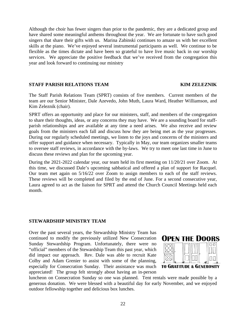Although the choir has fewer singers than prior to the pandemic, they are a dedicated group and have shared some meaningful anthems throughout the year. We are fortunate to have such good singers that share their gifts with us. Marina Zabinski continues to amaze us with her excellent skills at the piano. We've enjoyed several instrumental participants as well. We continue to be flexible as the times dictate and have been so grateful to have live music back in our worship services. We appreciate the positive feedback that we've received from the congregation this year and look forward to continuing our ministry

#### **STAFF PARISH RELATIONS TEAM KIM ZELEZNIK**

The Staff Parish Relations Team (SPRT) consists of five members. Current members of the team are our Senior Minister, Dale Azevedo, John Muth, Laura Ward, Heather Williamson, and Kim Zeleznik (chair).

SPRT offers an opportunity and place for our ministers, staff, and members of the congregation to share their thoughts, ideas, or any concerns they may have. We are a sounding board for staffparish relationships and are available at any time a need arises. We also receive and review goals from the ministers each fall and discuss how they are being met as the year progresses. During our regularly scheduled meetings, we listen to the joys and concerns of the ministers and offer support and guidance when necessary. Typically in May, our team organizes smaller teams to oversee staff reviews, in accordance with the by-laws. We try to meet one last time in June to discuss these reviews and plan for the upcoming year.

During the 2021-2022 calendar year, our team held its first meeting on 11/20/21 over Zoom. At this time, we discussed Dale's upcoming sabbatical and offered a plan of support for Racquel. Our team met again on 5/16/22 over Zoom to assign members to each of the staff reviews. These reviews will be completed and filed by the end of June. For a second consecutive year, Laura agreed to act as the liaison for SPRT and attend the Church Council Meetings held each month.

#### **STEWARDSHIP MINISTRY TEAM**

Over the past several years, the Stewardship Ministry Team has continued to modify the previously utilized New Consecration Sunday Stewardship Program. Unfortunately, there were no "official" members of the Stewardship Team this past year, which did impact our approach. Rev. Dale was able to recruit Kate Colby and Adam Grenier to assist with some of the planning, especially for Consecration Sunday. Their assistance was much appreciated! The group felt strongly about having an in-person



luncheon on Consecration Sunday so one was planned. Tent rentals were made possible by a generous donation. We were blessed with a beautiful day for early November, and we enjoyed outdoor fellowship together and delicious box lunches.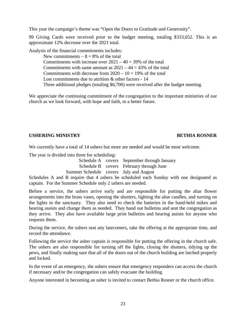This year the campaign's theme was "Open the Doors to Gratitude and Generosity".

99 Giving Cards were received prior to the budget meeting, totaling \$333,652. This is an approximate 12% decrease over the 2021 total.

Analysis of the financial commitments includes:

New commitments  $-8 = 8\%$  of the total Commitments with increase over  $2021 - 40 = 39\%$  of the total Commitments with same amount as  $2021 - 44 = 43\%$  of the total Commitments with decrease from  $2020 - 10 = 19%$  of the total Lost commitments due to attrition & other factors - 14 Three additional pledges (totaling \$6,700) were received after the budget meeting.

We appreciate the continuing commitment of the congregation to the important ministries of our church as we look forward, with hope and faith, to a better future.

### **USHERING MINISTRY BETHIA ROSNER**

We currently have a total of 14 ushers but more are needed and would be most welcome.

The year is divided into three for scheduling:

Schedule A covers September through January Schedule B covers February through June Summer Schedule covers July and August

Schedules A and B require that 4 ushers be scheduled each Sunday with one designated as captain. For the Summer Schedule only 2 ushers are needed.

Before a service, the ushers arrive early and are responsible for putting the altar flower arrangements into the brass vases, opening the shutters, lighting the altar candles, and turning on the lights in the sanctuary. They also need to check the batteries in the hand-held mikes and hearing assists and change them as needed. They hand out bulletins and seat the congregation as they arrive. They also have available large print bulletins and hearing assists for anyone who requests them.

During the service, the ushers seat any latecomers, take the offering at the appropriate time, and record the attendance.

Following the service the usher captain is responsible for putting the offering in the church safe. The ushers are also responsible for turning off the lights, closing the shutters, tidying up the pews, and finally making sure that all of the doors out of the church building are latched properly and locked.

In the event of an emergency, the ushers ensure that emergency responders can access the church if necessary and/or the congregation can safely evacuate the building.

Anyone interested in becoming an usher is invited to contact Bethia Rosner or the church office.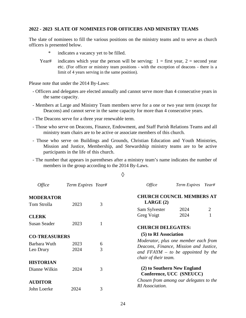#### **2022 - 2023 SLATE OF NOMINEES FOR OFFICERS AND MINISTRY TEAMS**

The slate of nominees to fill the various positions on the ministry teams and to serve as church officers is presented below.

- indicates a vacancy yet to be filled.
- Year# indicates which year the person will be serving:  $1 =$  first year,  $2 =$  second year etc. (For officer or ministry team positions - with the exception of deacons - there is a limit of 4 years serving in the same position).

Please note that under the 2014 By-Laws:

- Officers and delegates are elected annually and cannot serve more than 4 consecutive years in the same capacity.
- Members at Large and Ministry Team members serve for a one or two year term (except for Deacons) and cannot serve in the same capacity for more than 4 consecutive years.
- The Deacons serve for a three year renewable term.
- Those who serve on Deacons, Finance, Endowment, and Staff Parish Relations Teams and all ministry team chairs are to be active or associate members of this church.
- Those who serve on Buildings and Grounds, Christian Education and Youth Ministries, Mission and Justice, Membership, and Stewardship ministry teams are to be active participants in the life of this church.
- The number that appears in parentheses after a ministry team's name indicates the number of members in the group according to the 2014 By-Laws.

◊

| <i>Office</i>        | Term Expires Year# |              | <i>Office</i>                                                                                          | Term Expires                                            | Year#          |
|----------------------|--------------------|--------------|--------------------------------------------------------------------------------------------------------|---------------------------------------------------------|----------------|
| <b>MODERATOR</b>     |                    |              | <b>CHURCH COUNCIL MEMBERS AT</b>                                                                       |                                                         |                |
| Tom Strolla          | 2023               | 3            | LARGE(2)                                                                                               |                                                         |                |
| <b>CLERK</b>         |                    |              | Sam Sylvester<br>Greg Voigt                                                                            | 2024<br>2024                                            | $\overline{2}$ |
| <b>Susan Seader</b>  | 2023               | $\mathbf{1}$ | <b>CHURCH DELEGATES:</b>                                                                               |                                                         |                |
| <b>CO-TREASURERS</b> |                    |              | (5) to RI Association                                                                                  |                                                         |                |
| Barbara Wuth         | 2023               | 6            | Moderator, plus one member each from                                                                   |                                                         |                |
| Leo Drury            | 2024               | 3            | Deacons, Finance, Mission and Justice,<br>and $FFAYM - to be appointed by the$<br>chair of their team. |                                                         |                |
| <b>HISTORIAN</b>     |                    |              |                                                                                                        |                                                         |                |
| Dianne Wilkin        | 2024               | 3            |                                                                                                        | (2) to Southern New England<br>Conference, UCC (SNEUCC) |                |
| <b>AUDITOR</b>       |                    |              | Chosen from among our delegates to the                                                                 |                                                         |                |
| John Loerke          | 2024               | 3            | RI Association.                                                                                        |                                                         |                |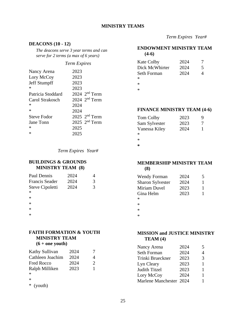#### **MINISTRY TEAMS**

#### **DEACONS (10 - 12)**

*The deacons serve 3 year terms and can serve for 2 terms (a max of 6 years)* 

#### *Term Expires*

| Nancy Arena       | 2023              |
|-------------------|-------------------|
| Lory McCoy        | 2023              |
| Jeff Stumpff      | 2023              |
| *                 | 2023              |
| Patricia Stoddard | $2024$ $2nd$ Term |
| Carol Strakosch   | $2024$ $2nd$ Term |
| ∗                 | 2024              |
| $\ast$            | 2024              |
| Steve Fodor       | 2025 $2nd$ Term   |
| Jane Tonn         | $2025$ $2nd$ Term |
| $\ast$            | 2025              |
| $\ast$            | 2025              |

*Term Expires Year#* 

#### **BUILDINGS & GROUNDS MINISTRY TEAM (8)**

| 2024 |   |
|------|---|
| 2024 | 3 |
| 2024 | 3 |
|      |   |
|      |   |
|      |   |
|      |   |
|      |   |
|      |   |

#### **FAITH FORMATION & YOUTH MINISTRY TEAM**   $(6 + \text{one }\text{with})$

|  |  | $(0 + 0)$ volumer |  |
|--|--|-------------------|--|
|  |  |                   |  |

| Kathy Sullivan   | 2024 |                             |
|------------------|------|-----------------------------|
| Cathleen Joachim | 2024 | 4                           |
| Fred Rocco       | 2024 | $\mathcal{D}_{\mathcal{A}}$ |
| Ralph Milliken   | 2023 | 1                           |
| $\ast$           |      |                             |
| $\ast$           |      |                             |
| (youth)<br>∗     |      |                             |

 *Term Expires Year#* 

#### **ENDOWMENT MINISTRY TEAM (4-6)**

| <b>Kate Colby</b> | 2024 |   |
|-------------------|------|---|
| Dick McWhirter    | 2024 | 5 |
| Seth Forman       | 2024 | 4 |
| $\ast$            |      |   |
| $\ast$            |      |   |
| ∗                 |      |   |

#### **FINANCE MINISTRY TEAM (4-6)**

| Tom Colby     | 2023 | Q |
|---------------|------|---|
| Sam Sylvester | 2023 |   |
| Vanessa Kiley | 2024 |   |
| ж             |      |   |
| *             |      |   |

**\*** 

#### **MEMBERSHIP MINISTRY TEAM (8)**

| <b>Wendy Forman</b>     | 2024 | 5 |
|-------------------------|------|---|
| <b>Sharon Sylvester</b> | 2024 | 1 |
| Miriam Duvel            | 2023 | 1 |
| Gina Helm               | 2023 | 1 |
| *                       |      |   |
| $\ast$                  |      |   |

\*

\*

#### **MISSION and JUSTICE MINISTRY TEAM (4)**

| Nancy Arena             | 2024 | 5 |
|-------------------------|------|---|
| Seth Forman             | 2024 | 4 |
| Trinki Brueckner        | 2023 | 3 |
| Lyn Cleary              | 2023 | 1 |
| Judith Titzel           | 2023 | 1 |
| Lory McCoy              | 2024 | 1 |
| Marlene Manchester 2024 |      |   |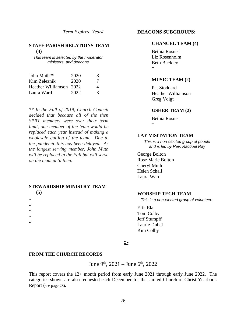*Term Expires Year#* 

#### **STAFF-PARISH RELATIONS TEAM (4)**

*This team is selected by the moderator, ministers, and deacons.* 

| John Muth**             | 2020 | x. |
|-------------------------|------|----|
| Kim Zeleznik            | 2020 | 7  |
| Heather Williamson 2022 |      | 4  |
| Laura Ward              | 2022 | 3  |

*\*\* In the Fall of 2019, Church Council decided that because all of the then SPRT members were over their term limit, one member of the team would be replaced each year instead of making a wholesale gutting of the team. Due to the pandemic this has been delayed. As the longest serving member, John Muth will be replaced in the Fall but will serve on the team until then.* 

#### **STEWARDSHIP MINISTRY TEAM (5)**

- 
- 
- \*

\*

\*

\*

\*

**DEACONS SUBGROUPS:** 

#### **CHANCEL TEAM (4)**

Bethia Rosner Liz Rosenholm Beth Buckley \*

#### **MUSIC TEAM (2)**

Pat Stoddard Heather Williamson Greg Voigt

#### **USHER TEAM (2)**

Bethia Rosner \*

#### **LAY VISITATION TEAM**

*This is a non-elected group of people and is led by Rev. Racquel Ray*

George Bolton Rose Marie Bolton Cheryl Muth Helen Schall Laura Ward

#### **WORSHIP TECH TEAM**

*This is a non-elected group of volunteers* 

Erik Ela Tom Colby Jeff Stumpff Laurie Dubel Kim Colby

#### ³

#### **FROM THE CHURCH RECORDS**

June 9<sup>th</sup>, 2021 – June 6<sup>th</sup>, 2022

This report covers the 12+ month period from early June 2021 through early June 2022. The categories shown are also requested each December for the United Church of Christ Yearbook Report (see page 28).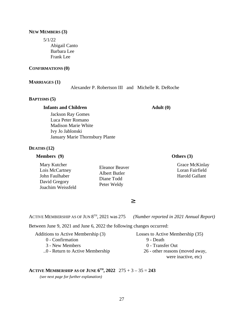#### **NEW MEMBERS (3)**

5/1/22

Abigail Canto Barbara Lee Frank Lee

#### **CONFIRMATIONS (0)**

#### **MARRIAGES (1)**

Alexander P. Robertson III and Michelle R. DeRoche

#### **BAPTISMS (5)**

#### **Infants and Children**

**Adult (0)**

Jackson Ray Gomes Luca Peter Romano Madison Marie White Ivy Jo Jablonski January Marie Thornsbury Plante

#### **DEATHS (12)**

#### **Members (9)**

Mary Kutcher Lois McCartney John Faulhaber David Gregory Joachim Weissfeld Eleanor Beaver Albert Butler Diane Todd Peter Weldy

#### **Others (3)**

Grace McKinlay Loran Fairfield Harold Gallant

³

ACTIVE MEMBERSHIP AS OF JUN 8<sup>TH</sup>, 2021 was 275 (Number reported in 2021 Annual Report)

Between June 9, 2021 and June 6, 2022 the following changes occurred:

| Additions to Active Membership (3) | Losses to Active Membership (35) |
|------------------------------------|----------------------------------|
| 0 - Confirmation                   | 9 - Death                        |
| 3 - New Members                    | 0 - Transfer Out                 |
| 0 - Return to Active Membership    | 26 - other reasons (moved away,  |
|                                    |                                  |

#### were inactive, etc)

#### **ACTIVE MEMBERSHIP AS OF JUNE**  $6^{TH}$ **, 2022**  $275 + 3 - 35 = 243$

*(see next page for further explanation)*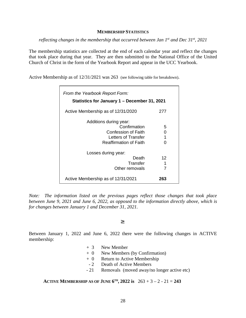#### **MEMBERSHIP STATISTICS**

*reflecting changes in the membership that occurred between Jan 1st and Dec 31st , 2021* 

The membership statistics are collected at the end of each calendar year and reflect the changes that took place during that year. They are then submitted to the National Office of the United Church of Christ in the form of the Yearbook Report and appear in the UCC Yearbook.

Active Membership as of 12/31/2021 was 263 (see following table for breakdown).

| From the Yearbook Report Form:<br>Statistics for January 1 – December 31, 2021                                        |                  |  |
|-----------------------------------------------------------------------------------------------------------------------|------------------|--|
| Active Membership as of 12/31/2020                                                                                    | 277              |  |
| Additions during year:<br>Confirmation<br>Confession of Faith<br>Letters of Transfer<br><b>Reaffirmation of Faith</b> | 5<br>0<br>1<br>O |  |
| Losses during year:<br>Death<br>Transfer<br>Other removals                                                            | 12<br>1<br>7     |  |
| Active Membership as of 12/31/2021                                                                                    | 263              |  |

*Note: The information listed on the previous pages reflect those changes that took place between June 9, 2021 and June 6, 2022, as opposed to the information directly above, which is for changes between January 1 and December 31, 2021.* 

#### ³

Between January 1, 2022 and June 6, 2022 there were the following changes in ACTIVE membership:

- + 3 New Member
- + 0 New Members (by Confirmation)
- + 0 Return to Active Membership
- 2 Death of Active Members
- 21 Removals (moved away/no longer active etc)

**ACTIVE MEMBERSHIP AS OF JUNE**  $6^{TH}$ **, 2022 is**  $263 + 3 - 2 - 21 = 243$